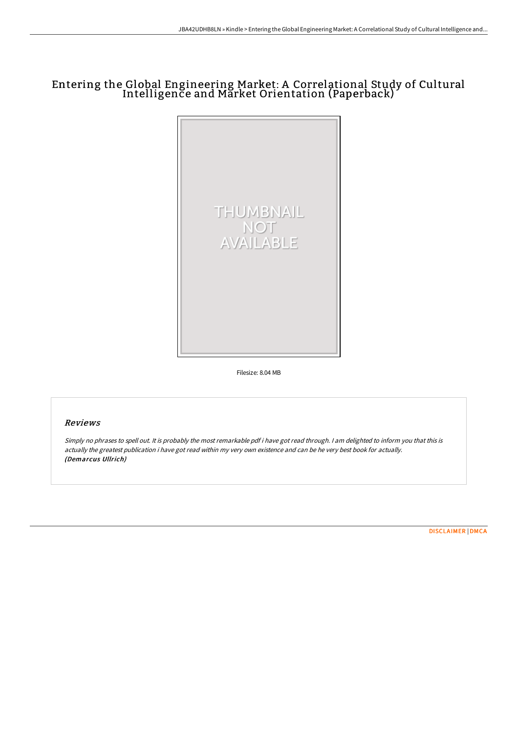# Entering the Global Engineering Market: A Correlational Study of Cultural Intelligence and Market Orientation (Paperback)



Filesize: 8.04 MB

### Reviews

Simply no phrases to spell out. It is probably the most remarkable pdf i have got read through. <sup>I</sup> am delighted to inform you that this is actually the greatest publication i have got read within my very own existence and can be he very best book for actually. (Demarcus Ullrich)

[DISCLAIMER](http://digilib.live/disclaimer.html) | [DMCA](http://digilib.live/dmca.html)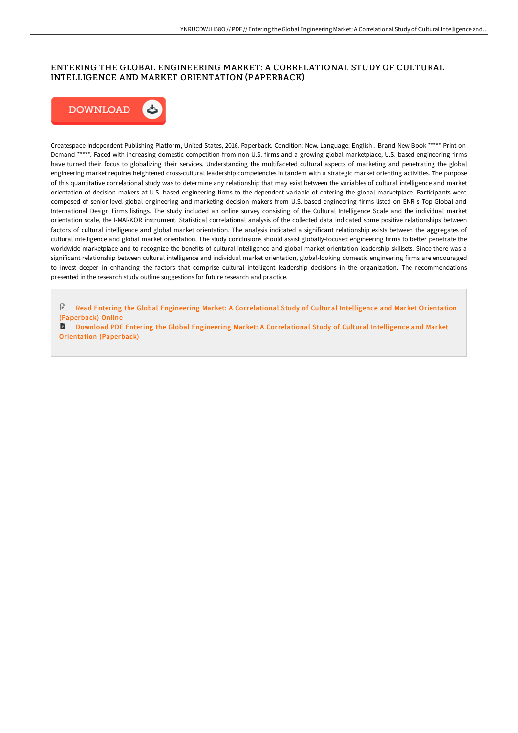## ENTERING THE GLOBAL ENGINEERING MARKET: A CORRELATIONAL STUDY OF CULTURAL INTELLIGENCE AND MARKET ORIENTATION (PAPERBACK)



Createspace Independent Publishing Platform, United States, 2016. Paperback. Condition: New. Language: English . Brand New Book \*\*\*\*\* Print on Demand \*\*\*\*\*. Faced with increasing domestic competition from non-U.S. firms and a growing global marketplace, U.S.-based engineering firms have turned their focus to globalizing their services. Understanding the multifaceted cultural aspects of marketing and penetrating the global engineering market requires heightened cross-cultural leadership competencies in tandem with a strategic market orienting activities. The purpose of this quantitative correlational study was to determine any relationship that may exist between the variables of cultural intelligence and market orientation of decision makers at U.S.-based engineering firms to the dependent variable of entering the global marketplace. Participants were composed of senior-level global engineering and marketing decision makers from U.S.-based engineering firms listed on ENR s Top Global and International Design Firms listings. The study included an online survey consisting of the Cultural Intelligence Scale and the individual market orientation scale, the I-MARKOR instrument. Statistical correlational analysis of the collected data indicated some positive relationships between factors of cultural intelligence and global market orientation. The analysis indicated a significant relationship exists between the aggregates of cultural intelligence and global market orientation. The study conclusions should assist globally-focused engineering firms to better penetrate the worldwide marketplace and to recognize the benefits of cultural intelligence and global market orientation leadership skillsets. Since there was a significant relationship between cultural intelligence and individual market orientation, global-looking domestic engineering firms are encouraged to invest deeper in enhancing the factors that comprise cultural intelligent leadership decisions in the organization. The recommendations presented in the research study outline suggestions for future research and practice.

€ Read Entering the Global Engineering Market: A [Correlational](http://digilib.live/entering-the-global-engineering-market-a-correla.html) Study of Cultural Intelligence and Market Orientation (Paperback) Online

**B** Download PDF Entering the Global Engineering Market: A [Correlational](http://digilib.live/entering-the-global-engineering-market-a-correla.html) Study of Cultural Intelligence and Market Orientation (Paperback)